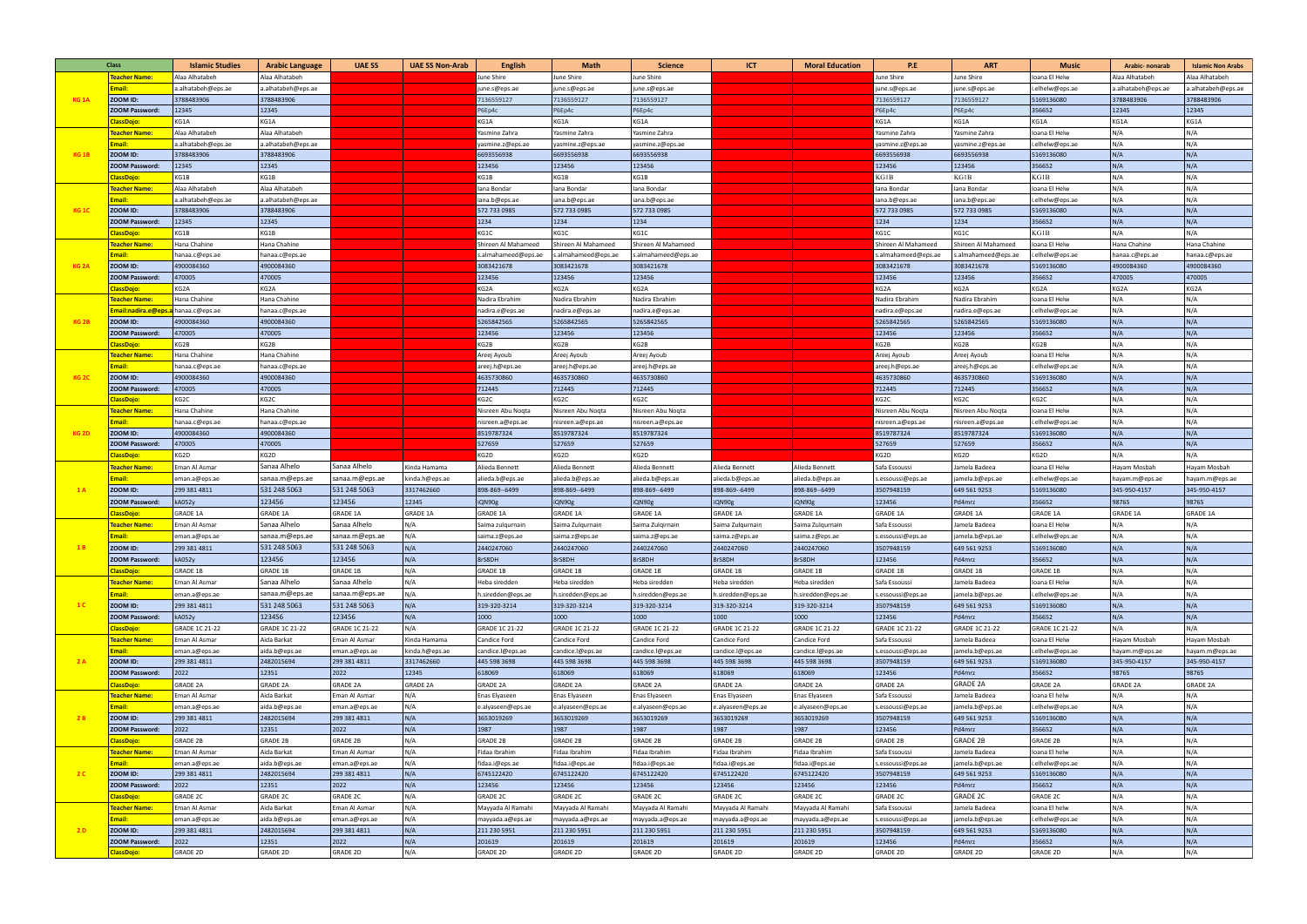| <b>Class</b>     |                                     | <b>Islamic Studies</b> | <b>Arabic Language</b>       | <b>UAE SS</b>   | <b>UAE SS Non-Arab</b> | <b>English</b>               | <b>Math</b>                  | <b>Science</b>               | <b>ICT</b>        | <b>Moral Education</b> | P.E                          | <b>ART</b>                   | <b>Music</b>                  | Arabic- nonarab    | <b>Islamic Non Arabs</b> |
|------------------|-------------------------------------|------------------------|------------------------------|-----------------|------------------------|------------------------------|------------------------------|------------------------------|-------------------|------------------------|------------------------------|------------------------------|-------------------------------|--------------------|--------------------------|
| <b>KG 1A</b>     | <b>Teacher Name:</b>                | Alaa Alhatabeh         | Alaa Alhatabeh               |                 |                        | June Shire                   | June Shire                   | June Shire                   |                   |                        | June Shire                   | June Shire                   | Ioana El Helw                 | Alaa Alhatabeh     | Alaa Alhatabeh           |
|                  | :mail:                              | a.alhatabeh@eps.ae     | a.alhatabeh@eps.ae           |                 |                        | june.s@eps.ae                | june.s@eps.ae                | june.s@eps.ae                |                   |                        | june.s@eps.ae                | june.s@eps.ae                | .elhelw@eps.ae                | a.alhatabeh@eps.ae | a.alhatabeh@eps.ae       |
|                  | ZOOM ID:                            | 3788483906             | 3788483906                   |                 |                        | 7136559127                   | 7136559127                   | 7136559127                   |                   |                        | 7136559127                   | 7136559127                   | 5169136080                    | 3788483906         | 3788483906               |
|                  | <b>ZOOM Password:</b>               | 12345                  | 12345                        |                 |                        | P6Ep4c                       | P6Ep4c                       | P6Ep4c                       |                   |                        | P6Ep4c                       | P6Ep4c                       | 356652                        | 12345              | 12345                    |
|                  | <b>ClassDojo:</b>                   | KG1A                   | KG1A                         |                 |                        | KG1A                         | KG1A                         | KG1A                         |                   |                        | KG1A                         | KG1A                         | KG1A                          | KG1A               | KG1A                     |
|                  | Teacher Name:                       | Alaa Alhatabeh         | Alaa Alhatabeh               |                 |                        | Yasmine Zahra                | Yasmine Zahra                | Yasmine Zahra                |                   |                        | Yasmine Zahra                | Yasmine Zahra                | Ioana El Helw                 | N/A                | N/A                      |
| KG <sub>1B</sub> | Email:                              | a.alhatabeh@eps.ae     | a.alhatabeh@eps.ae           |                 |                        | yasmine.z@eps.ae             | yasmine.z@eps.ae             | yasmine.z@eps.ae             |                   |                        | yasmine.z@eps.ae             | yasmine.z@eps.ae             | i.elhelw@eps.ae               | N/A                | N/A                      |
|                  | <b>ZOOM ID:</b>                     | 3788483906             | 3788483906                   |                 |                        | 6693556938                   | 6693556938                   | 6693556938                   |                   |                        | 6693556938                   | 6693556938                   | 5169136080                    | N/A                | N/A                      |
|                  | <b>ZOOM Password:</b>               | 12345                  | 12345                        |                 |                        | 123456                       | 123456                       | 123456                       |                   |                        | 123456                       | 123456                       | 356652                        | N/A                | N/A                      |
|                  | ClassDojo:                          | KG1B                   | KG1B                         |                 |                        | KG1B                         | KG1B                         | KG1B                         |                   |                        | KG1B                         | KG1B                         | KG1B                          | N/A                | N/A                      |
| KG <sub>1C</sub> | Teacher Name:                       | Alaa Alhatabeh         | Alaa Alhatabeh               |                 |                        | lana Bondar                  | lana Bondar                  | lana Bondar                  |                   |                        | lana Bondar                  | lana Bondar                  | Ioana El Helw                 | N/A                | N/A                      |
|                  | Email:                              | a.alhatabeh@eps.ae     | a.alhatabeh@eps.ae           |                 |                        | iana.b@eps.ae                | iana.b@eps.ae                | iana.b@eps.ae                |                   |                        | iana.b@eps.ae                | iana.b@eps.ae                | i.elhelw@eps.ae               | N/A                | N/A                      |
|                  | ZOOM ID:                            | 3788483906             | 3788483906                   |                 |                        | 572 733 0985                 | 572 733 0985                 | 572 733 0985                 |                   |                        | 572 733 0985                 | 572 733 0985                 | 5169136080                    | N/A                | N/A                      |
|                  | <b>ZOOM Password:</b>               | 12345                  | 12345                        |                 |                        | 1234                         | 1234                         | 1234                         |                   |                        | 1234                         | 1234                         | 356652                        | N/A                | N/A                      |
|                  | ClassDojo:                          | KG1B                   | KG1B                         |                 |                        | KG1C                         | KG1C                         | KG1C                         |                   |                        | KG1C                         | KG1C                         | KG1B                          | N/A                | N/A                      |
|                  | <mark>Teacher Name:</mark>          | Hana Chahine           | Hana Chahine                 |                 |                        | Shireen Al Mahameed          | Shireen Al Mahameed          | Shireen Al Mahameed          |                   |                        | Shireen Al Mahameed          | Shireen Al Mahameed          | Ioana El Helw                 | Hana Chahine       | Hana Chahine             |
|                  | Email:                              | hanaa.c@eps.ae         | hanaa.c@eps.ae               |                 |                        | s.almahameed@eps.ae          | s.almahameed@eps.ae          | s.almahameed@eps.ae          |                   |                        | s.almahameed@eps.ae          | s.almahameed@eps.ae          | .elhelw@eps.ae                | hanaa.c@eps.ae     | hanaa.c@eps.ae           |
| KG <sub>2A</sub> | ZOOM ID:                            | 4900084360             | 4900084360                   |                 |                        | 3083421678                   | 3083421678                   | 3083421678                   |                   |                        | 3083421678                   | 3083421678                   | 5169136080                    | 4900084360         | 4900084360               |
|                  | <b>ZOOM Password:</b>               | 470005                 | 470005                       |                 |                        | 123456                       | 123456                       | 123456                       |                   |                        | 123456                       | 123456                       | 356652                        | 470005             | 470005                   |
|                  | ClassDojo:                          | KG2A                   | KG2A                         |                 |                        | KG2A                         | KG2A                         | KG2A                         |                   |                        | KG2A                         | KG2A                         | KG2A                          | KG2A               | KG2A                     |
|                  | Teacher Name:                       | Hana Chahine           | Hana Chahine                 |                 |                        | Nadira Ebrahim               | Nadira Ebrahim               | Nadira Ebrahim               |                   |                        | Nadira Ebrahim               | Nadira Ebrahim               | Ioana El Helw                 | N/A                | N/A                      |
|                  | Email:nadira.e@eps.a hanaa.c@eps.ae |                        | hanaa.c@eps.ae               |                 |                        | nadira.e@eps.ae              | nadira.e@eps.ae              | nadira.e@eps.ae              |                   |                        | nadira.e@eps.ae              | nadira.e@eps.ae              | i.elhelw@eps.ae               | N/A                | N/A                      |
| KG <sub>2B</sub> | ZOOM ID:                            | 4900084360             | 4900084360                   |                 |                        | 5265842565                   | 5265842565                   | 5265842565                   |                   |                        | 5265842565                   | 5265842565                   | 5169136080                    | N/A                | N/A<br>N/A               |
|                  | <b>ZOOM Password:</b>               | 470005                 | 470005                       |                 |                        | 123456<br>KG2B               | 123456<br>KG2B               | 123456<br>KG2B               |                   |                        | 123456                       | 123456<br>KG2B               | 356652<br>KG2B                | N/A<br>N/A         | N/A                      |
|                  | <b>ClassDojo</b>                    | KG2B<br>Hana Chahine   | KG2B<br>Hana Chahine         |                 |                        |                              |                              |                              |                   |                        | KG2B                         |                              | Ioana El Helw                 | N/A                | N/A                      |
| KG <sub>2C</sub> | <u>Teacher Name:</u><br>Email:      | hanaa.c@eps.ae         |                              |                 |                        | Areej Ayoub                  | Areej Ayoub                  | Areej Ayoub                  |                   |                        | Areej Ayoub                  | Areej Ayoub                  |                               | N/A                | N/A                      |
|                  | ZOOM ID:                            | 4900084360             | hanaa.c@eps.ae<br>4900084360 |                 |                        | areej.h@eps.ae<br>4635730860 | areej.h@eps.a∈<br>4635730860 | areej.h@eps.ae<br>4635730860 |                   |                        | areej.h@eps.ae<br>4635730860 | areej.h@eps.ae<br>4635730860 | i.elhelw@eps.ae<br>5169136080 | N/A                | N/A                      |
|                  | <b>ZOOM Password:</b>               | 470005                 | 470005                       |                 |                        | 712445                       | 712445                       | 712445                       |                   |                        | 712445                       | 712445                       | 356652                        | N/A                | N/A                      |
|                  | <b>ClassDojo:</b>                   | KG2C                   | KG2C                         |                 |                        | KG2C                         | KG2C                         | KG2C                         |                   |                        | KG2C                         | KG2C                         | KG2C                          | N/A                | N/A                      |
| KG <sub>2D</sub> | <mark>Teacher Name</mark> :         | Hana Chahine           | Hana Chahine                 |                 |                        | Nisreen Abu Nogta            | Nisreen Abu Noqta            | Nisreen Abu Nogta            |                   |                        | Nisreen Abu Nogta            | Nisreen Abu Noqta            | Ioana El Helw                 | N/A                | N/A                      |
|                  | Email:                              | hanaa.c@eps.ae         | hanaa.c@eps.ae               |                 |                        | nisreen.a@eps.ae             | nisreen.a@eps.ae             | nisreen.a@eps.ae             |                   |                        | nisreen.a@eps.ae             | nisreen.a@eps.ae             | i.elhelw@eps.ae               | N/A                | N/A                      |
|                  | ZOOM ID:                            | 4900084360             | 4900084360                   |                 |                        | 8519787324                   | 8519787324                   | 8519787324                   |                   |                        | 8519787324                   | 8519787324                   | 5169136080                    | N/A                | N/A                      |
|                  | <b>ZOOM Password:</b>               | 470005                 | 470005                       |                 |                        | 527659                       | 527659                       | 527659                       |                   |                        | 527659                       | 527659                       | 356652                        | N/A                | N/A                      |
|                  | <b>ClassDojo:</b>                   | KG2D                   | KG2D                         |                 |                        | KG2D                         | KG2D                         | KG2D                         |                   |                        | KG2D                         | KG2D                         | KG2D                          | N/A                | N/A                      |
| 1A               | <b>Feacher Name</b>                 | Eman Al Asmar          | Sanaa Alhelo                 | Sanaa Alhelo    | Kinda Hamama           | Alieda Bennett               | Alieda Bennett               | Alieda Bennett               | Alieda Bennett    | Alieda Bennett         | Safa Essoussi                | Jamela Badeea                | Ioana El Helw                 | Hayam Mosbah       | Hayam Mosbah             |
|                  | Email:                              | eman.a@eps.ae          | sanaa.m@eps.ae               | sanaa.m@eps.ae  | kinda.h@eps.ae         | alieda.b@eps.ae              | alieda.b@eps.ae              | alieda.b@eps.ae              | alieda.b@eps.ae   | alieda.b@eps.ae        | s.essoussi@eps.ae            | jamela.b@eps.ae              | i.elhelw@eps.ae               | hayam.m@eps.ae     | hayam.m@eps.ae           |
|                  | ZOOM ID:                            | 299 381 4811           | 531 248 5063                 | 531 248 5063    | 3317462660             | 898-869--6499                | 898-869--6499                | 898-869--6499                | 898-869--6499     | 898-869--6499          | 3507948159                   | 649 561 9253                 | 5169136080                    | 345-950-4157       | 345-950-4157             |
|                  | <b>ZOOM Password:</b>               | <b>kA052y</b>          | 123456                       | 123456          | 12345                  | iQN90g                       | iQN90g                       | iQN90g                       | iQN90g            | iQN90g                 | 123456                       | Pd4mrz                       | 356652                        | 98765              | 98765                    |
|                  | <b>ClassDojo:</b>                   | <b>GRADE 1A</b>        | <b>GRADE 1A</b>              | <b>GRADE 1A</b> | <b>GRADE 1A</b>        | <b>GRADE 1A</b>              | <b>GRADE 1A</b>              | <b>GRADE 1A</b>              | <b>GRADE 1A</b>   | <b>GRADE 1A</b>        | <b>GRADE 1A</b>              | <b>GRADE 1A</b>              | <b>GRADE 1A</b>               | <b>GRADE 1A</b>    | <b>GRADE 1A</b>          |
|                  | Teacher Name:                       | Eman Al Asmar          | Sanaa Alhelo                 | Sanaa Alhelo    | N/A                    | Saima zulqurnain             | Saima Zulqurnain             | Saima Zulqirnain             | Saima Zulqurnain  | Saima Zulqurnain       | Safa Essoussi                | Jamela Badeea                | Ioana El Helw                 | N/A                | N/A                      |
|                  | Email:                              | eman.a@eps.ae          | sanaa.m@eps.ae               | sanaa.m@eps.ae  | N/A                    | saima.z@eps.ae               | saima.z@eps.ae               | saima.z@eps.ae               | saima.z@eps.ae    | saima.z@eps.ae         | s.essoussi@eps.ae            | jamela.b@eps.ae              | .elhelw@eps.ae                | N/A                | N/A                      |
|                  | ZOOM ID:                            | 299 381 4811           | 531 248 5063                 | 531 248 5063    | N/A                    | 2440247060                   | 2440247060                   | 2440247060                   | 2440247060        | 2440247060             | 3507948159                   | 649 561 9253                 | 5169136080                    | N/A                | N/A                      |
|                  | <b>ZOOM Password:</b>               | kA052y                 | 123456                       | 123456          | N/A                    | 8rS8DH                       | 8rS8DH                       | 8rS8DH                       | 8rS8DH            | 8rS8DH                 | 123456                       | Pd4mrz                       | 356652                        | N/A                | N/A                      |
|                  | <b>ClassDojo:</b>                   | GRADE 1B               | GRADE 1B                     | GRADE 1B        | N/A                    | <b>GRADE 1B</b>              | GRADE 1B                     | <b>GRADE 1B</b>              | <b>GRADE 1B</b>   | <b>GRADE 1B</b>        | <b>GRADE 1B</b>              | <b>GRADE 1B</b>              | <b>GRADE 1B</b>               | N/A                | N/A                      |
|                  | Teacher Name:                       | Eman Al Asmar          | Sanaa Alhelo                 | Sanaa Alhelo    | N/A                    | Heba siredden                | Heba siredden                | Heba siredden                | Heba siredden     | Heba siredden          | Safa Essoussi                | Jamela Badeea                | Ioana El Helw                 | N/A                | N/A                      |
|                  | Email:                              | eman.a@eps.ae          | sanaa.m@eps.ae               | sanaa.m@eps.ae  | N/A                    | h.siredden@eps.ae            | h.siredden@eps.ae            | h.siredden@eps.ae            | h.siredden@eps.ae | h.siredden@eps.ae      | s.essoussi@eps.ae            | jamela.b@eps.ae              | i.elhelw@eps.ae               | N/A                | N/A                      |
| 1 <sup>C</sup>   | ZOOM ID:                            | 299 381 4811           | 531 248 5063                 | 531 248 5063    | N/A                    | 319-320-3214                 | 319-320-3214                 | 319-320-3214                 | 319-320-3214      | 319-320-3214           | 3507948159                   | 649 561 9253                 | 5169136080                    | N/A                | N/A                      |
|                  | <b>ZOOM Password:</b>               | kA052y                 | 123456                       | 123456          | N/A                    | 1000                         | 1000                         | 1000                         | 1000              | 1000                   | 123456                       | Pd4mrz                       | 356652                        | N/A                | N/A                      |
|                  | ClassDojo:                          | GRADE 1C 21-22         | GRADE 1C 21-22               | GRADE 1C 21-22  | N/A                    | GRADE 1C 21-22               | GRADE 1C 21-22               | GRADE 1C 21-22               | GRADE 1C 21-22    | GRADE 1C 21-22         | GRADE 1C 21-22               | GRADE 1C 21-22               | GRADE 1C 21-22                | N/A                | N/A                      |
|                  | <b>Teacher Name:</b>                | Eman Al Asmar          | Aida Barkat                  | Eman Al Asmar   | Kinda Hamama           | Candice Ford                 | Candice Ford                 | Candice Ford                 | Candice Ford      | Candice Ford           | Safa Essoussi                | Jamela Badeea                | Ioana El Helw                 | Hayam Mosbah       | Hayam Mosbah             |
| 2A               | Email:                              | eman.a@eps.ae          | aida.b@eps.ae                | eman.a@eps.ae   | kinda.h@eps.ae         | candice.l@eps.ae             | candice.l@eps.ae             | candice.l@eps.ae             | candice.l@eps.ae  | candice.l@eps.ae       | s.essoussi@eps.ae            | jamela.b@eps.ae              | i.elhelw@eps.ae               | hayam.m@eps.ae     | hayam.m@eps.ae           |
|                  | ZOOM ID:                            | 299 381 4811           | 2482015694                   | 299 381 4811    | 3317462660             | 445 598 3698                 | 445 598 3698                 | 445 598 3698                 | 445 598 3698      | 445 598 3698           | 3507948159                   | 649 561 9253                 | 5169136080                    | 345-950-4157       | 345-950-4157             |
|                  | <b>ZOOM Password:</b>               | 2022                   | 12351                        | 2022            | 12345                  | 618069                       | 618069                       | 618069                       | 618069            | 618069                 | 123456                       | Pd4mrz                       | 356652                        | 98765              | 98765                    |
|                  | <b>ClassDojo:</b>                   | <b>GRADE 2A</b>        | <b>GRADE 2A</b>              | <b>GRADE 2A</b> | <b>GRADE 2A</b>        | <b>GRADE 2A</b>              | <b>GRADE 2A</b>              | <b>GRADE 2A</b>              | <b>GRADE 2A</b>   | <b>GRADE 2A</b>        | <b>GRADE 2A</b>              | <b>GRADE 2A</b>              | <b>GRADE 2A</b>               | <b>GRADE 2A</b>    | <b>GRADE 2A</b>          |
| 2B               | <b>Teacher Name:</b>                | Eman Al Asmar          | Aida Barkat                  | Eman Al Asmar   | N/A                    | Enas Elyaseen                | Enas Elyaseen                | Enas Elyaseen                | Enas Elyaseen     | Enas Elyaseen          | Safa Essoussi                | Jamela Badeea                | Ioana El helw                 | N/A                | N/A                      |
|                  | Email:                              | eman.a@eps.ae          | aida.b@eps.ae                | eman.a@eps.ae   | N/A                    | e.alyaseen@eps.ae            | e.alyaseen@eps.ae            | e.alyaseen@eps.ae            | e.alyaseen@eps.ae | e.alyaseen@eps.ae      | s.essoussi@eps.ae            | amela.b@eps.ae               | i.elhelw@eps.ae               | N/A                | N/A                      |
|                  | ZOOM ID:                            | 299 381 4811           | 2482015694                   | 299 381 4811    | N/A                    | 3653019269                   | 3653019269                   | 3653019269                   | 3653019269        | 3653019269             | 3507948159                   | 649 561 9253                 | 5169136080                    | N/A                | N/A                      |
|                  | <b>ZOOM Password:</b>               | 2022                   | 12351                        | 2022            | N/A                    | 1987                         | 1987                         | 1987                         | 1987              | 1987                   | 123456                       | Pd4mrz                       | 356652                        | N/A                | N/A                      |
| 2C               | ClassDojo:                          | <b>GRADE 2B</b>        | GRADE 2B                     | <b>GRADE 2B</b> | N/A                    | <b>GRADE 2B</b>              | GRADE 2B                     | <b>GRADE 2B</b>              | GRADE 2B          | GRADE 2B               | <b>GRADE 2B</b>              | <b>GRADE 2B</b>              | <b>GRADE 2B</b>               | N/A                | N/A                      |
|                  | <b>Teacher Name:</b>                | Eman Al Asmar          | Aida Barkat                  | Eman Al Asmar   | N/A                    | Fidaa Ibrahim                | Fidaa Ibrahim                | Fidaa Ibrahim                | Fidaa Ibrahim     | Fidaa Ibrahim          | Safa Essoussi                | Jamela Badeea                | Ioana El helw                 | N/A                | N/A                      |
|                  | Email:                              | eman.a@eps.ae          | aida.b@eps.ae                | eman.a@eps.ae   | N/A                    | fidaa.i@eps.ae               | fidaa.i@eps.ae               | fidaa.i@eps.ae               | fidaa.i@eps.ae    | fidaa.i@eps.ae         | s.essoussi@eps.ae            | jamela.b@eps.ae              | .elhelw@eps.ae                | N/A                | N/A                      |
|                  | ZOOM ID:                            | 299 381 4811           | 2482015694                   | 299 381 4811    | N/A                    | 6745122420                   | 6745122420                   | 6745122420                   | 6745122420        | 6745122420             | 3507948159                   | 649 561 9253                 | 5169136080                    | N/A                | N/A                      |
|                  | <b>ZOOM Password:</b>               | 2022                   | 12351                        | 2022            | N/A                    | 123456                       | 123456                       | 123456                       | 123456            | 123456                 | 123456                       | Pd4mrz                       | 356652                        | N/A                | N/A                      |
|                  | ClassDojo:                          | GRADE 2C               | <b>GRADE 2C</b>              | <b>GRADE 2C</b> | N/A                    | <b>GRADE 2C</b>              | GRADE 2C                     | <b>GRADE 2C</b>              | <b>GRADE 2C</b>   | <b>GRADE 2C</b>        | GRADE 2C                     | GRADE 2C                     | <b>GRADE 2C</b>               | N/A                | N/A                      |
| 2D               | Teacher Name:                       | Eman Al Asmar          | Aida Barkat                  | Eman Al Asmar   | N/A                    | Mayyada Al Ramahi            | Mayyada Al Ramahi            | Mayyada Al Ramahi            | Mayyada Al Ramahi | Mayyada Al Ramahi      | Safa Essoussi                | Jamela Badeea                | Ioana El helw                 | N/A                | N/A                      |
|                  | Email:                              | eman.a@eps.ae          | aida.b@eps.ae                | eman.a@eps.ae   | N/A                    | mayyada.a@eps.ae             | mayyada.a@eps.ae             | mayyada.a@eps.ae             | mayyada.a@eps.ae  | nayyada.a@eps.ae       | s.essoussi@eps.ae            | jamela.b@eps.ae              | i.elhelw@eps.ae               | N/A                | N/A                      |
|                  | ZOOM ID:                            | 299 381 4811           | 2482015694                   | 299 381 4811    | N/A                    | 211 230 5951                 | 211 230 5951                 | 211 230 5951                 | 211 230 5951      | 211 230 5951           | 3507948159                   | 649 561 9253                 | 5169136080                    | N/A                | N/A                      |
|                  | <b>ZOOM Password:</b>               | 2022                   | 12351                        | 2022            | N/A                    | 201619                       | 201619                       | 201619                       | 201619            | 201619                 | 123456                       | Pd4mrz                       | 356652                        | N/A                | N/A                      |
|                  | ClassDojo:                          | <b>GRADE 2D</b>        | <b>GRADE 2D</b>              | GRADE 2D        | N/A                    | <b>GRADE 2D</b>              | <b>GRADE 2D</b>              | <b>GRADE 2D</b>              | GRADE 2D          | <b>GRADE 2D</b>        | <b>GRADE 2D</b>              | GRADE 2D                     | <b>GRADE 2D</b>               | N/A                | N/A                      |